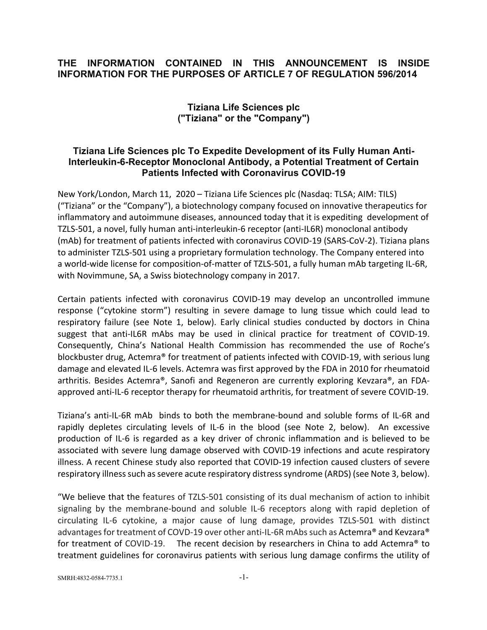## **THE INFORMATION CONTAINED IN THIS ANNOUNCEMENT IS INSIDE INFORMATION FOR THE PURPOSES OF ARTICLE 7 OF REGULATION 596/2014**

# **Tiziana Life Sciences plc ("Tiziana" or the "Company")**

## **Tiziana Life Sciences plc To Expedite Development of its Fully Human Anti-Interleukin-6-Receptor Monoclonal Antibody, a Potential Treatment of Certain Patients Infected with Coronavirus COVID-19**

New York/London, March 11, 2020 – Tiziana Life Sciences plc (Nasdaq: TLSA; AIM: TILS) ("Tiziana" or the "Company"), a biotechnology company focused on innovative therapeutics for inflammatory and autoimmune diseases, announced today that it is expediting development of TZLS-501, a novel, fully human anti-interleukin-6 receptor (anti-IL6R) monoclonal antibody (mAb) for treatment of patients infected with coronavirus COVID-19 (SARS-CoV-2). Tiziana plans to administer TZLS-501 using a proprietary formulation technology. The Company entered into a world-wide license for composition-of-matter of TZLS-501, a fully human mAb targeting IL-6R, with Novimmune, SA, a Swiss biotechnology company in 2017.

Certain patients infected with coronavirus COVID-19 may develop an uncontrolled immune response ("cytokine storm") resulting in severe damage to lung tissue which could lead to respiratory failure (see Note 1, below). Early clinical studies conducted by doctors in China suggest that anti-IL6R mAbs may be used in clinical practice for treatment of COVID-19. Consequently, China's National Health Commission has recommended the use of Roche's blockbuster drug, Actemra® for treatment of patients infected with COVID-19, with serious lung damage and elevated IL-6 levels. Actemra was first approved by the FDA in 2010 for rheumatoid arthritis. Besides Actemra®, Sanofi and Regeneron are currently exploring Kevzara®, an FDAapproved anti-IL-6 receptor therapy for rheumatoid arthritis, for treatment of severe COVID-19.

Tiziana's anti-IL-6R mAb binds to both the membrane-bound and soluble forms of IL-6R and rapidly depletes circulating levels of IL-6 in the blood (see Note 2, below). An excessive production of IL-6 is regarded as a key driver of chronic inflammation and is believed to be associated with severe lung damage observed with COVID-19 infections and acute respiratory illness. A recent Chinese study also reported that COVID-19 infection caused clusters of severe respiratory illness such as severe acute respiratory distress syndrome (ARDS) (see Note 3, below).

"We believe that the features of TZLS-501 consisting of its dual mechanism of action to inhibit signaling by the membrane-bound and soluble IL-6 receptors along with rapid depletion of circulating IL-6 cytokine, a major cause of lung damage, provides TZLS-501 with distinct advantages for treatment of COVD-19 over other anti-IL-6R mAbs such as Actemra® and Kevzara® for treatment of COVID-19. The recent decision by researchers in China to add Actemra® to treatment guidelines for coronavirus patients with serious lung damage confirms the utility of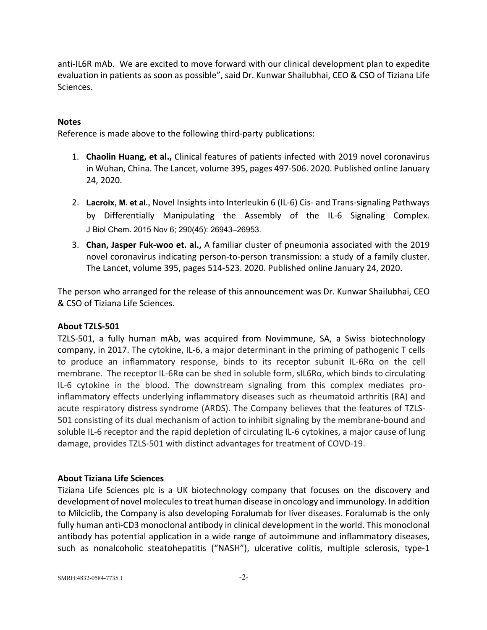anti-IL6R mAb. We are excited to move forward with our clinical development plan to expedite evaluation in patients as soon as possible", said Dr. Kunwar Shailubhai, CEO & CSO of Tiziana Life Sciences.

## **Notes**

Reference is made above to the following third-party publications:

- 1. **Chaolin Huang, et al.,** Clinical features of patients infected with 2019 novel coronavirus in Wuhan, China. The Lancet, volume 395, pages 497-506. 2020. Published online January 24, 2020.
- 2. **Lacroix, M. et al.,** Novel Insights into Interleukin 6 (IL-6) Cis- and Trans-signaling Pathways by Differentially Manipulating the Assembly of the IL-6 Signaling Complex. J Biol Chem**.** 2015 Nov 6; 290(45): 26943–26953.
- 3. **Chan, Jasper Fuk-woo et. al.,** A familiar cluster of pneumonia associated with the 2019 novel coronavirus indicating person-to-person transmission: a study of a family cluster. The Lancet, volume 395, pages 514-523. 2020. Published online January 24, 2020.

The person who arranged for the release of this announcement was Dr. Kunwar Shailubhai, CEO & CSO of Tiziana Life Sciences.

## **About TZLS-501**

TZLS-501, a fully human mAb, was acquired from Novimmune, SA, a Swiss biotechnology company, in 2017. The cytokine, IL-6, a major determinant in the priming of pathogenic T cells to produce an inflammatory response, binds to its receptor subunit IL-6Rα on the cell membrane. The receptor IL-6Rα can be shed in soluble form, sIL6Rα, which binds to circulating IL-6 cytokine in the blood. The downstream signaling from this complex mediates proinflammatory effects underlying inflammatory diseases such as rheumatoid arthritis (RA) and acute respiratory distress syndrome (ARDS). The Company believes that the features of TZLS-501 consisting of its dual mechanism of action to inhibit signaling by the membrane-bound and soluble IL-6 receptor and the rapid depletion of circulating IL-6 cytokines, a major cause of lung damage, provides TZLS-501 with distinct advantages for treatment of COVD-19.

### **About Tiziana Life Sciences**

Tiziana Life Sciences plc is a UK biotechnology company that focuses on the discovery and development of novel molecules to treat human disease in oncology and immunology. In addition to Milciclib, the Company is also developing Foralumab for liver diseases. Foralumab is the only fully human anti-CD3 monoclonal antibody in clinical development in the world. This monoclonal antibody has potential application in a wide range of autoimmune and inflammatory diseases, such as nonalcoholic steatohepatitis ("NASH"), ulcerative colitis, multiple sclerosis, type-1